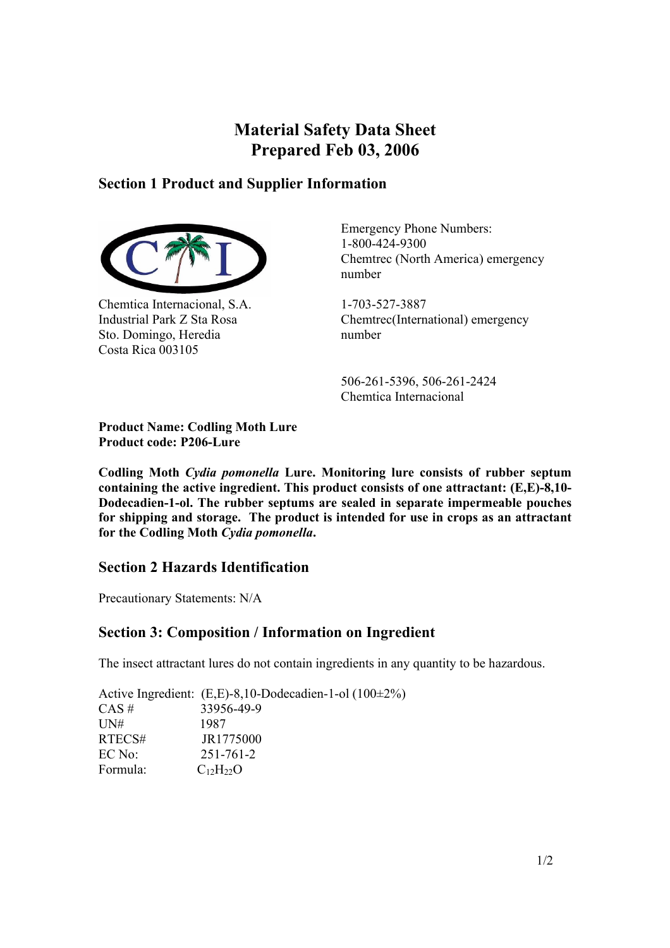# **Material Safety Data Sheet Prepared Feb 03, 2006**

### **Section 1 Product and Supplier Information**



Chemtica Internacional, S.A. Industrial Park Z Sta Rosa Sto. Domingo, Heredia Costa Rica 003105

Emergency Phone Numbers: 1-800-424-9300 Chemtrec (North America) emergency number

1-703-527-3887 Chemtrec(International) emergency number

 506-261-5396, 506-261-2424 Chemtica Internacional

**Product Name: Codling Moth Lure Product code: P206-Lure** 

**Codling Moth** *Cydia pomonella* **Lure. Monitoring lure consists of rubber septum containing the active ingredient. This product consists of one attractant: (E,E)-8,10- Dodecadien-1-ol. The rubber septums are sealed in separate impermeable pouches for shipping and storage. The product is intended for use in crops as an attractant for the Codling Moth** *Cydia pomonella***.** 

## **Section 2 Hazards Identification**

Precautionary Statements: N/A

## **Section 3: Composition / Information on Ingredient**

The insect attractant lures do not contain ingredients in any quantity to be hazardous.

Active Ingredient: (E,E)-8,10-Dodecadien-1-ol (100±2%)  $CAS \#$  33956-49-9 UN# 1987 RTECS# JR1775000 EC No: 251-761-2 Formula:  $C_{12}H_{22}O$